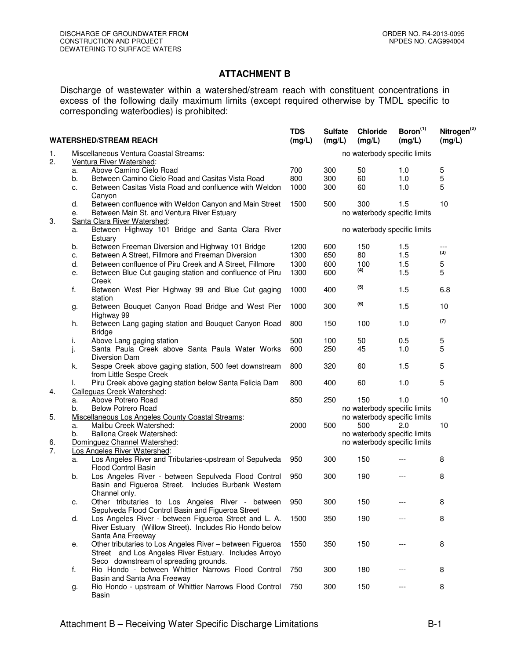## **ATTACHMENT B**

Discharge of wastewater within a watershed/stream reach with constituent concentrations in excess of the following daily maximum limits (except required otherwise by TMDL specific to corresponding waterbodies) is prohibited:

| <b>WATERSHED/STREAM REACH</b> |                                                                    |                                                                                         | <b>TDS</b><br>(mg/L)         | <b>Sulfate</b><br>(mg/L)     | Chloride<br>(mg/L)           | Boron <sup>(1)</sup><br>(mg/L) | Nitrogen <sup>(2)</sup><br>(mg/L) |  |
|-------------------------------|--------------------------------------------------------------------|-----------------------------------------------------------------------------------------|------------------------------|------------------------------|------------------------------|--------------------------------|-----------------------------------|--|
| 1.<br>2.                      | Miscellaneous Ventura Coastal Streams:<br>Ventura River Watershed: |                                                                                         | no waterbody specific limits |                              |                              |                                |                                   |  |
|                               | a.                                                                 | Above Camino Cielo Road                                                                 | 700                          | 300                          | 50                           | 1.0                            | 5                                 |  |
|                               | b.                                                                 | Between Camino Cielo Road and Casitas Vista Road                                        | 800                          | 300                          | 60                           | 1.0                            | 5                                 |  |
|                               | c.                                                                 | Between Casitas Vista Road and confluence with Weldon                                   | 1000                         | 300                          | 60                           | 1.0                            | 5                                 |  |
|                               |                                                                    | Canyon                                                                                  |                              |                              |                              |                                |                                   |  |
|                               | d.                                                                 | Between confluence with Weldon Canyon and Main Street                                   | 1500                         | 500                          | 300                          | 1.5                            | 10                                |  |
|                               | е.                                                                 | Between Main St. and Ventura River Estuary                                              |                              |                              | no waterbody specific limits |                                |                                   |  |
| 3.                            | Santa Clara River Watershed:                                       |                                                                                         |                              |                              |                              |                                |                                   |  |
|                               | Between Highway 101 Bridge and Santa Clara River<br>a.<br>Estuary  |                                                                                         |                              | no waterbody specific limits |                              |                                |                                   |  |
|                               | b.                                                                 | Between Freeman Diversion and Highway 101 Bridge                                        | 1200                         | 600                          | 150                          | 1.5                            | ---                               |  |
|                               | c.                                                                 | Between A Street, Fillmore and Freeman Diversion                                        | 1300                         | 650                          | 80                           | 1.5                            | (3)                               |  |
|                               | d.                                                                 | Between confluence of Piru Creek and A Street, Fillmore                                 | 1300                         | 600                          | 100                          | 1.5                            | 5                                 |  |
|                               | е.                                                                 | Between Blue Cut gauging station and confluence of Piru                                 | 1300                         | 600                          | (4)                          | 1.5                            | 5                                 |  |
|                               |                                                                    | Creek                                                                                   |                              |                              |                              |                                |                                   |  |
|                               | f.                                                                 | Between West Pier Highway 99 and Blue Cut gaging<br>station                             | 1000                         | 400                          | (5)                          | 1.5                            | 6.8                               |  |
|                               | g.                                                                 | Between Bouquet Canyon Road Bridge and West Pier<br>Highway 99                          | 1000                         | 300                          | (6)                          | 1.5                            | 10                                |  |
|                               | h.                                                                 | Between Lang gaging station and Bouquet Canyon Road<br><b>Bridge</b>                    | 800                          | 150                          | 100                          | 1.0                            | (7)                               |  |
|                               | i.                                                                 | Above Lang gaging station                                                               | 500                          | 100                          | 50                           | 0.5                            | 5                                 |  |
|                               | j.                                                                 | Santa Paula Creek above Santa Paula Water Works                                         | 600                          | 250                          | 45                           | 1.0                            | 5                                 |  |
|                               |                                                                    | Diversion Dam                                                                           |                              |                              |                              |                                |                                   |  |
|                               | k.                                                                 | Sespe Creek above gaging station, 500 feet downstream<br>from Little Sespe Creek        | 800                          | 320                          | 60                           | 1.5                            | 5                                 |  |
|                               | I.                                                                 | Piru Creek above gaging station below Santa Felicia Dam                                 | 800                          | 400                          | 60                           | 1.0                            | 5                                 |  |
| 4.                            |                                                                    | Calleguas Creek Watershed:                                                              |                              |                              |                              |                                |                                   |  |
|                               | a.                                                                 | Above Potrero Road                                                                      | 850                          | 250                          | 150                          | 1.0                            | 10                                |  |
|                               | <b>Below Potrero Road</b><br>b.                                    |                                                                                         |                              |                              | no waterbody specific limits |                                |                                   |  |
| 5.                            |                                                                    | Miscellaneous Los Angeles County Coastal Streams:                                       |                              |                              | no waterbody specific limits |                                |                                   |  |
|                               | a.                                                                 | Malibu Creek Watershed:                                                                 | 2000                         | 500                          | 500                          | 2.0                            | 10                                |  |
|                               | b.                                                                 | Ballona Creek Watershed:                                                                |                              |                              | no waterbody specific limits |                                |                                   |  |
| 6.                            |                                                                    | Dominguez Channel Watershed:                                                            |                              |                              | no waterbody specific limits |                                |                                   |  |
| 7.                            |                                                                    | Los Angeles River Watershed:<br>Los Angeles River and Tributaries-upstream of Sepulveda | 950                          |                              | 150                          |                                | 8                                 |  |
|                               | a.                                                                 | Flood Control Basin                                                                     |                              | 300                          |                              |                                |                                   |  |
|                               | b.                                                                 | Los Angeles River - between Sepulveda Flood Control                                     | 950                          | 300                          | 190                          |                                | 8                                 |  |
|                               |                                                                    | Basin and Figueroa Street. Includes Burbank Western                                     |                              |                              |                              |                                |                                   |  |
|                               |                                                                    | Channel only.                                                                           |                              |                              |                              |                                |                                   |  |
|                               | c.                                                                 | Other tributaries to Los Angeles River - between                                        | 950                          | 300                          | 150                          |                                | 8                                 |  |
|                               |                                                                    | Sepulveda Flood Control Basin and Figueroa Street                                       |                              |                              |                              |                                |                                   |  |
|                               | d.                                                                 | Los Angeles River - between Figueroa Street and L. A.                                   | 1500                         | 350                          | 190                          |                                | 8                                 |  |
|                               |                                                                    | River Estuary (Willow Street). Includes Rio Hondo below                                 |                              |                              |                              |                                |                                   |  |
|                               |                                                                    | Santa Ana Freeway                                                                       |                              |                              |                              |                                |                                   |  |
|                               | е.                                                                 | Other tributaries to Los Angeles River - between Figueroa                               | 1550                         | 350                          | 150                          |                                | 8                                 |  |
|                               |                                                                    | Street and Los Angeles River Estuary. Includes Arroyo                                   |                              |                              |                              |                                |                                   |  |
|                               |                                                                    | Seco downstream of spreading grounds.                                                   |                              |                              |                              |                                |                                   |  |
|                               | f.                                                                 | Rio Hondo - between Whittier Narrows Flood Control                                      | 750                          | 300                          | 180                          |                                | 8                                 |  |
|                               |                                                                    | Basin and Santa Ana Freeway                                                             |                              |                              |                              |                                |                                   |  |
|                               | g.                                                                 | Rio Hondo - upstream of Whittier Narrows Flood Control                                  | 750                          | 300                          | 150                          |                                | 8                                 |  |
|                               |                                                                    | Basin                                                                                   |                              |                              |                              |                                |                                   |  |